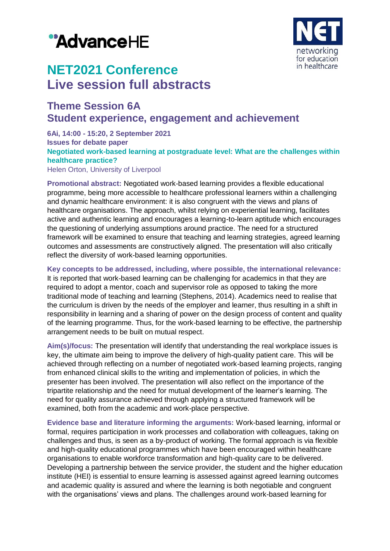# "AdvanceHE



## **NET2021 Conference Live session full abstracts**

### **Theme Session 6A Student experience, engagement and achievement**

#### **6Ai, 14:00 - 15:20, 2 September 2021 Issues for debate paper Negotiated work-based learning at postgraduate level: What are the challenges within healthcare practice?** Helen Orton, University of Liverpool

**Promotional abstract:** Negotiated work-based learning provides a flexible educational programme, being more accessible to healthcare professional learners within a challenging and dynamic healthcare environment: it is also congruent with the views and plans of healthcare organisations. The approach, whilst relying on experiential learning, facilitates active and authentic learning and encourages a learning-to-learn aptitude which encourages the questioning of underlying assumptions around practice. The need for a structured framework will be examined to ensure that teaching and learning strategies, agreed learning outcomes and assessments are constructively aligned. The presentation will also critically reflect the diversity of work-based learning opportunities.

**Key concepts to be addressed, including, where possible, the international relevance:** It is reported that work-based learning can be challenging for academics in that they are required to adopt a mentor, coach and supervisor role as opposed to taking the more traditional mode of teaching and learning (Stephens, 2014). Academics need to realise that the curriculum is driven by the needs of the employer and learner, thus resulting in a shift in responsibility in learning and a sharing of power on the design process of content and quality of the learning programme. Thus, for the work-based learning to be effective, the partnership arrangement needs to be built on mutual respect.

**Aim(s)/focus:** The presentation will identify that understanding the real workplace issues is key, the ultimate aim being to improve the delivery of high-quality patient care. This will be achieved through reflecting on a number of negotiated work-based learning projects, ranging from enhanced clinical skills to the writing and implementation of policies, in which the presenter has been involved. The presentation will also reflect on the importance of the tripartite relationship and the need for mutual development of the learner's learning. The need for quality assurance achieved through applying a structured framework will be examined, both from the academic and work-place perspective.

**Evidence base and literature informing the arguments:** Work-based learning, informal or formal, requires participation in work processes and collaboration with colleagues, taking on challenges and thus, is seen as a by-product of working. The formal approach is via flexible and high-quality educational programmes which have been encouraged within healthcare organisations to enable workforce transformation and high-quality care to be delivered. Developing a partnership between the service provider, the student and the higher education institute (HEI) is essential to ensure learning is assessed against agreed learning outcomes and academic quality is assured and where the learning is both negotiable and congruent with the organisations' views and plans. The challenges around work-based learning for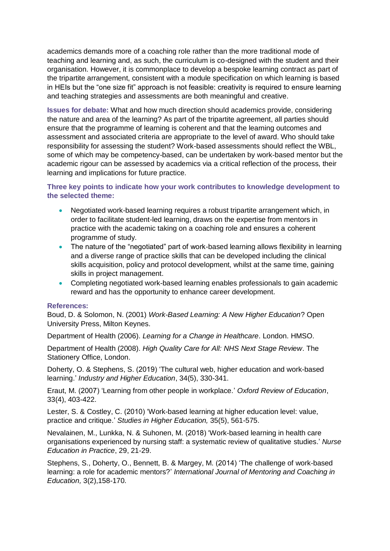academics demands more of a coaching role rather than the more traditional mode of teaching and learning and, as such, the curriculum is co-designed with the student and their organisation. However, it is commonplace to develop a bespoke learning contract as part of the tripartite arrangement, consistent with a module specification on which learning is based in HEIs but the "one size fit" approach is not feasible: creativity is required to ensure learning and teaching strategies and assessments are both meaningful and creative.

**Issues for debate:** What and how much direction should academics provide, considering the nature and area of the learning? As part of the tripartite agreement, all parties should ensure that the programme of learning is coherent and that the learning outcomes and assessment and associated criteria are appropriate to the level of award. Who should take responsibility for assessing the student? Work-based assessments should reflect the WBL, some of which may be competency-based, can be undertaken by work-based mentor but the academic rigour can be assessed by academics via a critical reflection of the process, their learning and implications for future practice.

#### **Three key points to indicate how your work contributes to knowledge development to the selected theme:**

- Negotiated work-based learning requires a robust tripartite arrangement which, in order to facilitate student-led learning, draws on the expertise from mentors in practice with the academic taking on a coaching role and ensures a coherent programme of study.
- The nature of the "negotiated" part of work-based learning allows flexibility in learning and a diverse range of practice skills that can be developed including the clinical skills acquisition, policy and protocol development, whilst at the same time, gaining skills in project management.
- Completing negotiated work-based learning enables professionals to gain academic reward and has the opportunity to enhance career development.

#### **References:**

Boud, D. & Solomon, N. (2001) *Work-Based Learning: A New Higher Education*? Open University Press, Milton Keynes.

Department of Health (2006). *Learning for a Change in Healthcare*. London. HMSO.

Department of Health (2008). *High Quality Care for All: NHS Next Stage Review*. The Stationery Office, London.

Doherty, O. & Stephens, S. (2019) 'The cultural web, higher education and work-based learning.' *Industry and Higher Education*, 34(5), 330-341.

Eraut, M. (2007) 'Learning from other people in workplace.' *Oxford Review of Education*, 33(4), 403-422.

Lester, S. & Costley, C. (2010) 'Work-based learning at higher education level: value, practice and critique.' *Studies in Higher Education,* 35(5), 561-575.

Nevalainen, M., Lunkka, N. & Suhonen, M. (2018) 'Work-based learning in health care organisations experienced by nursing staff: a systematic review of qualitative studies.' *Nurse Education in Practice*, 29, 21-29.

Stephens, S., Doherty, O., Bennett, B. & Margey, M. (2014) 'The challenge of work-based learning: a role for academic mentors?' *International Journal of Mentoring and Coaching in Education,* 3(2),158-170.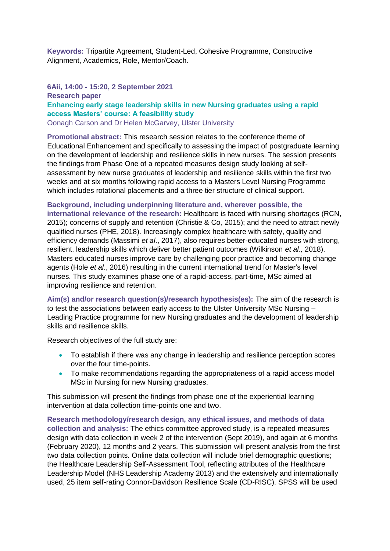**Keywords:** Tripartite Agreement, Student-Led, Cohesive Programme, Constructive Alignment, Academics, Role, Mentor/Coach.

#### **6Aii, 14:00 - 15:20, 2 September 2021 Research paper Enhancing early stage leadership skills in new Nursing graduates using a rapid access Masters' course: A feasibility study** Oonagh Carson and Dr Helen McGarvey, Ulster University

**Promotional abstract:** This research session relates to the conference theme of Educational Enhancement and specifically to assessing the impact of postgraduate learning on the development of leadership and resilience skills in new nurses. The session presents the findings from Phase One of a repeated measures design study looking at selfassessment by new nurse graduates of leadership and resilience skills within the first two weeks and at six months following rapid access to a Masters Level Nursing Programme which includes rotational placements and a three tier structure of clinical support.

#### **Background, including underpinning literature and, wherever possible, the**

**international relevance of the research:** Healthcare is faced with nursing shortages (RCN, 2015); concerns of supply and retention (Christie & Co, 2015); and the need to attract newly qualified nurses (PHE, 2018). Increasingly complex healthcare with safety, quality and efficiency demands (Massimi *et al*., 2017), also requires better-educated nurses with strong, resilient, leadership skills which deliver better patient outcomes (Wilkinson *et al.,* 2018). Masters educated nurses improve care by challenging poor practice and becoming change agents (Hole *et al*., 2016) resulting in the current international trend for Master's level nurses. This study examines phase one of a rapid-access, part-time, MSc aimed at improving resilience and retention.

**Aim(s) and/or research question(s)/research hypothesis(es):** The aim of the research is to test the associations between early access to the Ulster University MSc Nursing – Leading Practice programme for new Nursing graduates and the development of leadership skills and resilience skills.

Research objectives of the full study are:

- To establish if there was any change in leadership and resilience perception scores over the four time-points.
- To make recommendations regarding the appropriateness of a rapid access model MSc in Nursing for new Nursing graduates.

This submission will present the findings from phase one of the experiential learning intervention at data collection time-points one and two.

**Research methodology/research design, any ethical issues, and methods of data collection and analysis:** The ethics committee approved study, is a repeated measures design with data collection in week 2 of the intervention (Sept 2019), and again at 6 months (February 2020), 12 months and 2 years. This submission will present analysis from the first two data collection points. Online data collection will include brief demographic questions; the Healthcare Leadership Self-Assessment Tool, reflecting attributes of the Healthcare Leadership Model (NHS Leadership Academy 2013) and the extensively and internationally used, 25 item self-rating Connor-Davidson Resilience Scale (CD-RISC). SPSS will be used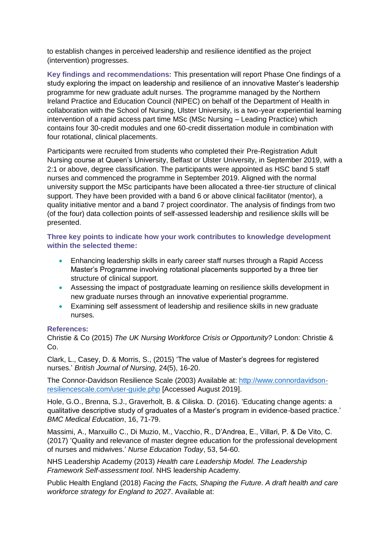to establish changes in perceived leadership and resilience identified as the project (intervention) progresses.

**Key findings and recommendations:** This presentation will report Phase One findings of a study exploring the impact on leadership and resilience of an innovative Master's leadership programme for new graduate adult nurses. The programme managed by the Northern Ireland Practice and Education Council (NIPEC) on behalf of the Department of Health in collaboration with the School of Nursing, Ulster University, is a two-year experiential learning intervention of a rapid access part time MSc (MSc Nursing – Leading Practice) which contains four 30-credit modules and one 60-credit dissertation module in combination with four rotational, clinical placements.

Participants were recruited from students who completed their Pre-Registration Adult Nursing course at Queen's University, Belfast or Ulster University, in September 2019, with a 2:1 or above, degree classification. The participants were appointed as HSC band 5 staff nurses and commenced the programme in September 2019. Aligned with the normal university support the MSc participants have been allocated a three-tier structure of clinical support. They have been provided with a band 6 or above clinical facilitator (mentor), a quality initiative mentor and a band 7 project coordinator. The analysis of findings from two (of the four) data collection points of self-assessed leadership and resilience skills will be presented.

**Three key points to indicate how your work contributes to knowledge development within the selected theme:**

- Enhancing leadership skills in early career staff nurses through a Rapid Access Master's Programme involving rotational placements supported by a three tier structure of clinical support.
- Assessing the impact of postgraduate learning on resilience skills development in new graduate nurses through an innovative experiential programme.
- Examining self assessment of leadership and resilience skills in new graduate nurses.

#### **References:**

Christie & Co (2015) *The UK Nursing Workforce Crisis or Opportunity?* London: Christie & Co.

Clark, L., Casey, D. & Morris, S., (2015) 'The value of Master's degrees for registered nurses.' *British Journal of Nursing,* 24(5), 16-20.

The Connor-Davidson Resilience Scale (2003) Available at: [http://www.connordavidson](http://www.connordavidson-resiliencescale.com/user-guide.php)[resiliencescale.com/user-guide.php](http://www.connordavidson-resiliencescale.com/user-guide.php) [Accessed August 2019].

Hole, G.O., Brenna, S.J., Graverholt, B. & Ciliska. D. (2016). 'Educating change agents: a qualitative descriptive study of graduates of a Master's program in evidence-based practice.' *BMC Medical Education*, 16, 71-79.

Massimi, A., Marxuillo C., Di Muzio, M., Vacchio, R., D'Andrea, E., Villari, P. & De Vito, C. (2017) 'Quality and relevance of master degree education for the professional development of nurses and midwives.' *Nurse Education Today*, 53, 54-60.

NHS Leadership Academy (2013) *Health care Leadership Model. The Leadership Framework Self-assessment tool*. NHS leadership Academy.

Public Health England (2018) *Facing the Facts, Shaping the Future. A draft health and care workforce strategy for England to 2027*. Available at: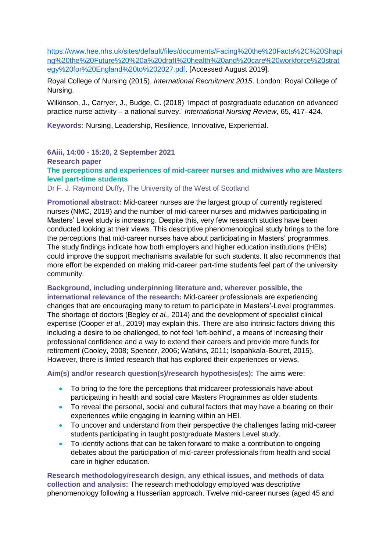[https://www.hee.nhs.uk/sites/default/files/documents/Facing%20the%20Facts%2C%20Shapi](https://www.hee.nhs.uk/sites/default/files/documents/Facing%20the%20Facts%2C%20Shaping%20the%20Future%20%20a%20draft%20health%20and%20care%20workforce%20strategy%20for%20England%20to%202027.pdf) [ng%20the%20Future%20%20a%20draft%20health%20and%20care%20workforce%20strat](https://www.hee.nhs.uk/sites/default/files/documents/Facing%20the%20Facts%2C%20Shaping%20the%20Future%20%20a%20draft%20health%20and%20care%20workforce%20strategy%20for%20England%20to%202027.pdf) [egy%20for%20England%20to%202027.pdf.](https://www.hee.nhs.uk/sites/default/files/documents/Facing%20the%20Facts%2C%20Shaping%20the%20Future%20%20a%20draft%20health%20and%20care%20workforce%20strategy%20for%20England%20to%202027.pdf) [Accessed August 2019].

Royal College of Nursing (2015). *International Recruitment 2015*. London: Royal College of Nursing.

Wilkinson, J., Carryer, J., Budge, C. (2018) 'Impact of postgraduate education on advanced practice nurse activity – a national survey.' *International Nursing Review,* 65, 417–424.

**Keywords:** Nursing, Leadership, Resilience, Innovative, Experiential.

#### **6Aiii, 14:00 - 15:20, 2 September 2021 Research paper The perceptions and experiences of mid-career nurses and midwives who are Masters level part-time students**

Dr F. J. Raymond Duffy, The University of the West of Scotland

**Promotional abstract:** Mid-career nurses are the largest group of currently registered nurses (NMC, 2019) and the number of mid-career nurses and midwives participating in Masters' Level study is increasing. Despite this, very few research studies have been conducted looking at their views. This descriptive phenomenological study brings to the fore the perceptions that mid-career nurses have about participating in Masters' programmes. The study findings indicate how both employers and higher education institutions (HEIs) could improve the support mechanisms available for such students. It also recommends that more effort be expended on making mid-career part-time students feel part of the university community.

#### **Background, including underpinning literature and, wherever possible, the international relevance of the research:** Mid-career professionals are experiencing changes that are encouraging many to return to participate in Masters'-Level programmes. The shortage of doctors (Begley *et al.,* 2014) and the development of specialist clinical expertise (Cooper *et al*., 2019) may explain this. There are also intrinsic factors driving this including a desire to be challenged, to not feel 'left-behind', a means of increasing their professional confidence and a way to extend their careers and provide more funds for retirement (Cooley, 2008; Spencer, 2006; Watkins, 2011; Isopahkala-Bouret, 2015). However, there is limted research that has explored their experiences or views.

**Aim(s) and/or research question(s)/research hypothesis(es):** The aims were:

- To bring to the fore the perceptions that midcareer professionals have about participating in health and social care Masters Programmes as older students.
- To reveal the personal, social and cultural factors that may have a bearing on their experiences while engaging in learning within an HEI.
- To uncover and understand from their perspective the challenges facing mid-career students participating in taught postgraduate Masters Level study.
- To identify actions that can be taken forward to make a contribution to ongoing debates about the participation of mid-career professionals from health and social care in higher education.

**Research methodology/research design, any ethical issues, and methods of data collection and analysis:** The research methodology employed was descriptive phenomenology following a Husserlian approach. Twelve mid-career nurses (aged 45 and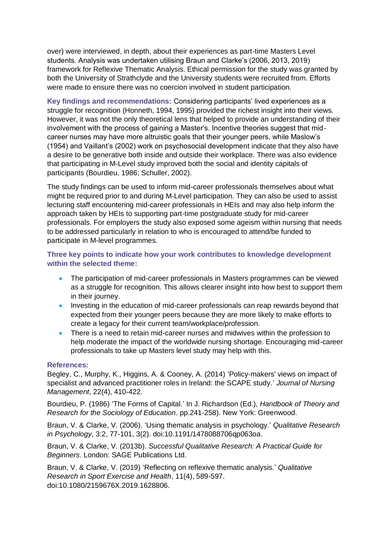over) were interviewed, in depth, about their experiences as part-time Masters Level students. Analysis was undertaken utilising Braun and Clarke's (2006, 2013, 2019) framework for Reflexive Thematic Analysis. Ethical permission for the study was granted by both the University of Strathclyde and the University students were recruited from. Efforts were made to ensure there was no coercion involved in student participation.

**Key findings and recommendations:** Considering participants' lived experiences as a struggle for recognition (Honneth, 1994, 1995) provided the richest insight into their views. However, it was not the only theoretical lens that helped to provide an understanding of their involvement with the process of gaining a Master's. Incentive theories suggest that midcareer nurses may have more altruistic goals that their younger peers, while Maslow's (1954) and Vaillant's (2002) work on psychosocial development indicate that they also have a desire to be generative both inside and outside their workplace. There was also evidence that participating in M-Level study improved both the social and identity capitals of participants (Bourdieu, 1986; Schuller, 2002).

The study findings can be used to inform mid-career professionals themselves about what might be required prior to and during M-Level participation. They can also be used to assist lecturing staff encountering mid-career professionals in HEIs and may also help inform the approach taken by HEIs to supporting part-time postgraduate study for mid-career professionals. For employers the study also exposed some ageism within nursing that needs to be addressed particularly in relation to who is encouraged to attend/be funded to participate in M-level programmes.

#### **Three key points to indicate how your work contributes to knowledge development within the selected theme:**

- The participation of mid-career professionals in Masters programmes can be viewed as a struggle for recognition. This allows clearer insight into how best to support them in their journey.
- Investing in the education of mid-career professionals can reap rewards beyond that expected from their younger peers because they are more likely to make efforts to create a legacy for their current team/workplace/profession.
- There is a need to retain mid-career nurses and midwives within the profession to help moderate the impact of the worldwide nursing shortage. Encouraging mid-career professionals to take up Masters level study may help with this.

#### **References:**

Begley, C., Murphy, K., Higgins, A. & Cooney, A. (2014) 'Policy‐makers' views on impact of specialist and advanced practitioner roles in Ireland: the SCAPE study.' *Journal of Nursing Management*, 22(4), 410-422.

Bourdieu, P. (1986) 'The Forms of Capital.' In J. Richardson (Ed.), *Handbook of Theory and Research for the Sociology of Education*. pp.241-258). New York: Greenwood.

Braun, V. & Clarke, V. (2006). 'Using thematic analysis in psychology.' *Qualitative Research in Psychology*, 3:2, 77-101, 3(2). doi:10.1191/1478088706qp063oa.

Braun, V. & Clarke, V. (2013b). *Successful Qualitative Research: A Practical Guide for Beginners*. London: SAGE Publications Ltd.

Braun, V. & Clarke, V. (2019) 'Reflecting on reflexive thematic analysis.' *Qualitative Research in Sport Exercise and Health*, 11(4), 589-597. doi:10.1080/2159676X.2019.1628806.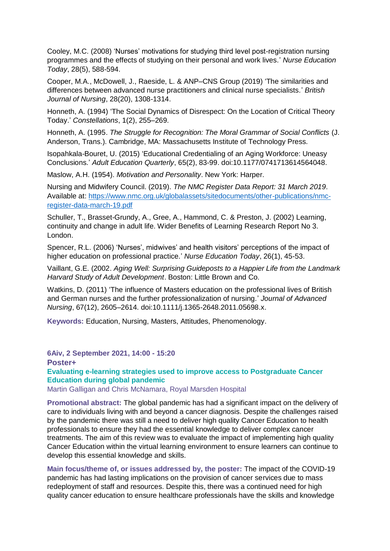Cooley, M.C. (2008) 'Nurses' motivations for studying third level post-registration nursing programmes and the effects of studying on their personal and work lives.' *Nurse Education Today*, 28(5), 588-594.

Cooper, M.A., McDowell, J., Raeside, L. & ANP–CNS Group (2019) 'The similarities and differences between advanced nurse practitioners and clinical nurse specialists.' *British Journal of Nursing*, 28(20), 1308-1314.

Honneth, A. (1994) 'The Social Dynamics of Disrespect: On the Location of Critical Theory Today.' *Constellations*, 1(2), 255–269.

Honneth, A. (1995. *The Struggle for Recognition: The Moral Grammar of Social Conflicts* (J. Anderson, Trans.). Cambridge, MA: Massachusetts Institute of Technology Press.

Isopahkala-Bouret, U. (2015) 'Educational Credentialing of an Aging Workforce: Uneasy Conclusions.' *Adult Education Quarterly*, 65(2), 83-99. doi:10.1177/0741713614564048.

Maslow, A.H. (1954). *Motivation and Personality*. New York: Harper.

Nursing and Midwifery Council. (2019). *The NMC Register Data Report: 31 March 2019*. Available at: [https://www.nmc.org.uk/globalassets/sitedocuments/other-publications/nmc](https://www.nmc.org.uk/globalassets/sitedocuments/other-publications/nmc-register-data-march-19.pdf)[register-data-march-19.pdf](https://www.nmc.org.uk/globalassets/sitedocuments/other-publications/nmc-register-data-march-19.pdf)

Schuller, T., Brasset-Grundy, A., Gree, A., Hammond, C. & Preston, J. (2002) Learning, continuity and change in adult life. Wider Benefits of Learning Research Report No 3. London.

Spencer, R.L. (2006) 'Nurses', midwives' and health visitors' perceptions of the impact of higher education on professional practice.' *Nurse Education Today*, 26(1), 45-53.

Vaillant, G.E. (2002. *Aging Well: Surprising Guideposts to a Happier Life from the Landmark Harvard Study of Adult Development*. Boston: Little Brown and Co.

Watkins, D. (2011) 'The influence of Masters education on the professional lives of British and German nurses and the further professionalization of nursing.' *Journal of Advanced Nursing*, 67(12), 2605–2614. doi:10.1111/j.1365-2648.2011.05698.x.

**Keywords:** Education, Nursing, Masters, Attitudes, Phenomenology.

#### **6Aiv, 2 September 2021, 14:00 - 15:20**

#### **Poster+**

**Evaluating e-learning strategies used to improve access to Postgraduate Cancer Education during global pandemic**

Martin Galligan and Chris McNamara, Royal Marsden Hospital

**Promotional abstract:** The global pandemic has had a significant impact on the delivery of care to individuals living with and beyond a cancer diagnosis. Despite the challenges raised by the pandemic there was still a need to deliver high quality Cancer Education to health professionals to ensure they had the essential knowledge to deliver complex cancer treatments. The aim of this review was to evaluate the impact of implementing high quality Cancer Education within the virtual learning environment to ensure learners can continue to develop this essential knowledge and skills.

**Main focus/theme of, or issues addressed by, the poster:** The impact of the COVID-19 pandemic has had lasting implications on the provision of cancer services due to mass redeployment of staff and resources. Despite this, there was a continued need for high quality cancer education to ensure healthcare professionals have the skills and knowledge